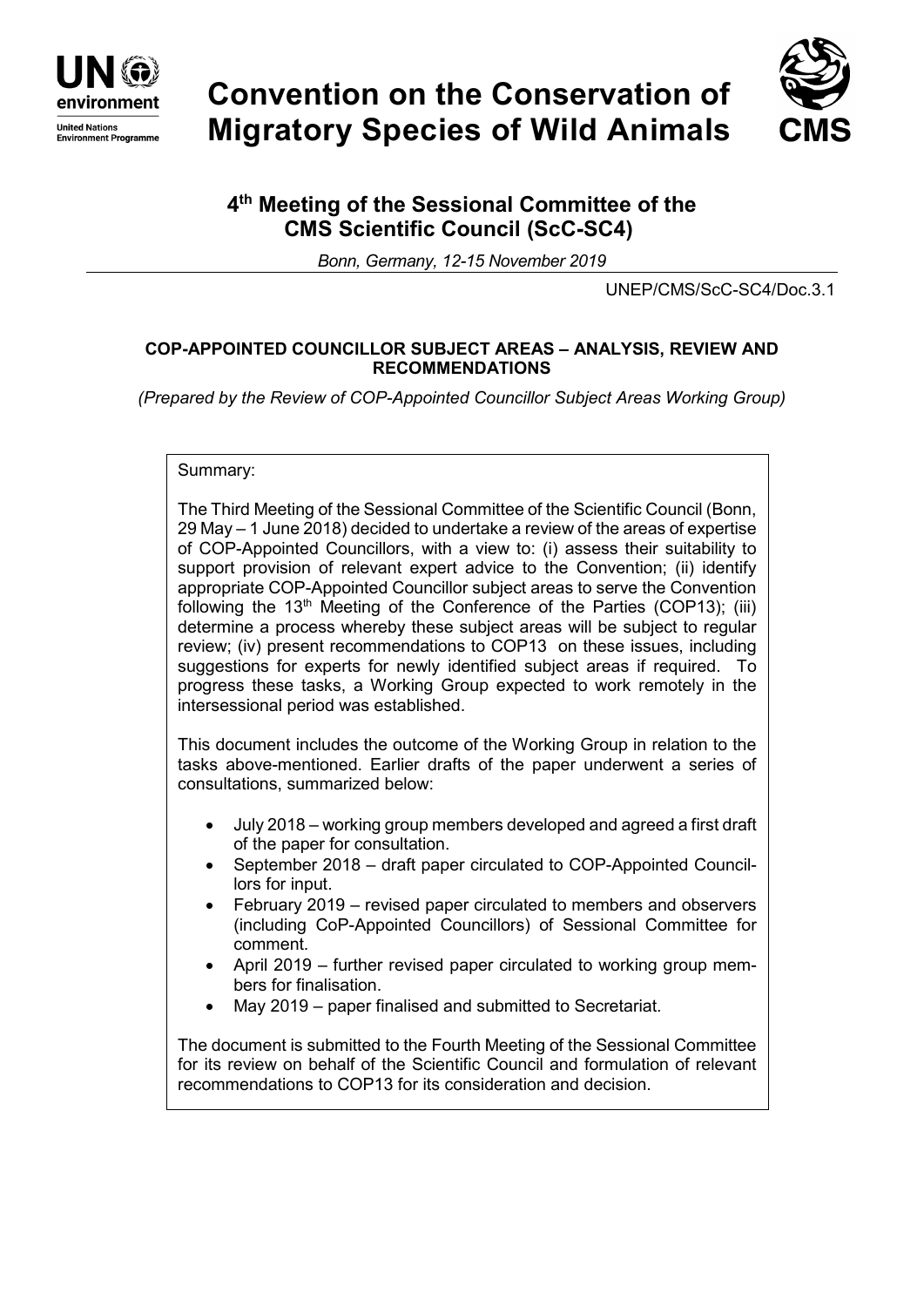

# **Convention on the Conservation of Migratory Species of Wild Animals**



# **4th Meeting of the Sessional Committee of the CMS Scientific Council (ScC-SC4)**

*Bonn, Germany, 12-15 November 2019*

UNEP/CMS/ScC-SC4/Doc.3.1

# **COP-APPOINTED COUNCILLOR SUBJECT AREAS – ANALYSIS, REVIEW AND RECOMMENDATIONS**

*(Prepared by the Review of COP-Appointed Councillor Subject Areas Working Group)*

### Summary:

The Third Meeting of the Sessional Committee of the Scientific Council (Bonn, 29 May – 1 June 2018) decided to undertake a review of the areas of expertise of COP-Appointed Councillors, with a view to: (i) assess their suitability to support provision of relevant expert advice to the Convention; (ii) identify appropriate COP-Appointed Councillor subject areas to serve the Convention following the  $13<sup>th</sup>$  Meeting of the Conference of the Parties (COP13); (iii) determine a process whereby these subject areas will be subject to regular review; (iv) present recommendations to COP13 on these issues, including suggestions for experts for newly identified subject areas if required. To progress these tasks, a Working Group expected to work remotely in the intersessional period was established.

This document includes the outcome of the Working Group in relation to the tasks above-mentioned. Earlier drafts of the paper underwent a series of consultations, summarized below:

- July 2018 working group members developed and agreed a first draft of the paper for consultation.
- September 2018 draft paper circulated to COP-Appointed Councillors for input.
- February 2019 revised paper circulated to members and observers (including CoP-Appointed Councillors) of Sessional Committee for comment.
- April 2019 further revised paper circulated to working group members for finalisation.
- May 2019 paper finalised and submitted to Secretariat.

The document is submitted to the Fourth Meeting of the Sessional Committee for its review on behalf of the Scientific Council and formulation of relevant recommendations to COP13 for its consideration and decision.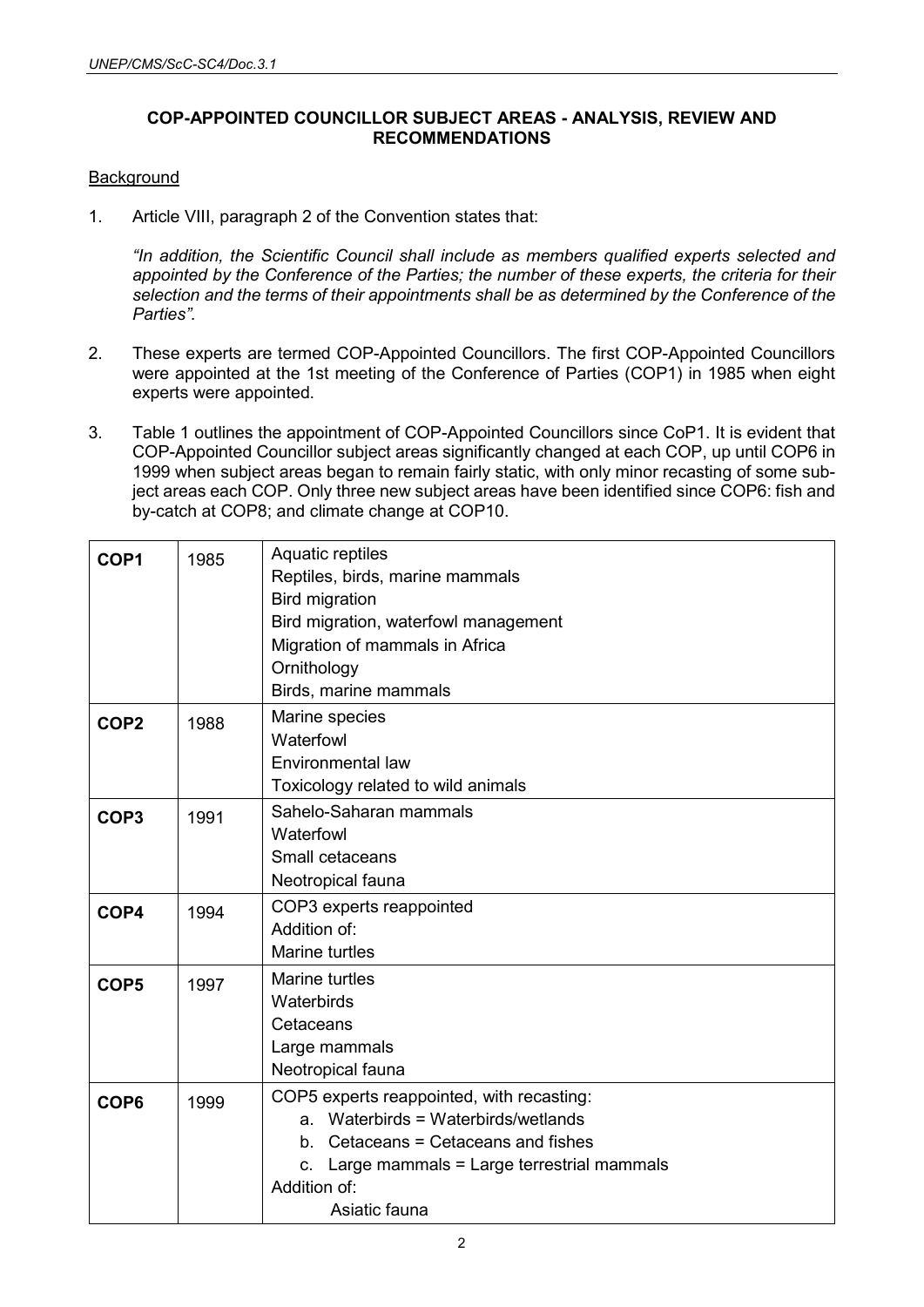# **COP-APPOINTED COUNCILLOR SUBJECT AREAS - ANALYSIS, REVIEW AND RECOMMENDATIONS**

# **Background**

1. Article VIII, paragraph 2 of the Convention states that:

*"In addition, the Scientific Council shall include as members qualified experts selected and appointed by the Conference of the Parties; the number of these experts, the criteria for their selection and the terms of their appointments shall be as determined by the Conference of the Parties".*

- 2. These experts are termed COP-Appointed Councillors. The first COP-Appointed Councillors were appointed at the 1st meeting of the Conference of Parties (COP1) in 1985 when eight experts were appointed.
- 3. Table 1 outlines the appointment of COP-Appointed Councillors since CoP1. It is evident that COP-Appointed Councillor subject areas significantly changed at each COP, up until COP6 in 1999 when subject areas began to remain fairly static, with only minor recasting of some subject areas each COP. Only three new subject areas have been identified since COP6: fish and by-catch at COP8; and climate change at COP10.

| COP1                           | 1985 | Aquatic reptiles                                |  |  |  |  |
|--------------------------------|------|-------------------------------------------------|--|--|--|--|
|                                |      | Reptiles, birds, marine mammals                 |  |  |  |  |
|                                |      | <b>Bird migration</b>                           |  |  |  |  |
|                                |      | Bird migration, waterfowl management            |  |  |  |  |
|                                |      | Migration of mammals in Africa                  |  |  |  |  |
|                                |      | Ornithology                                     |  |  |  |  |
|                                |      | Birds, marine mammals                           |  |  |  |  |
| COP <sub>2</sub><br>1988       |      | Marine species                                  |  |  |  |  |
|                                |      | Waterfowl                                       |  |  |  |  |
|                                |      | <b>Environmental law</b>                        |  |  |  |  |
|                                |      | Toxicology related to wild animals              |  |  |  |  |
| COP <sub>3</sub>               | 1991 | Sahelo-Saharan mammals                          |  |  |  |  |
|                                |      | Waterfowl                                       |  |  |  |  |
|                                |      | Small cetaceans                                 |  |  |  |  |
|                                |      | Neotropical fauna                               |  |  |  |  |
| COP4                           | 1994 | COP3 experts reappointed                        |  |  |  |  |
| Addition of:<br>Marine turtles |      |                                                 |  |  |  |  |
|                                |      |                                                 |  |  |  |  |
| COP <sub>5</sub>               | 1997 | <b>Marine turtles</b>                           |  |  |  |  |
|                                |      | Waterbirds                                      |  |  |  |  |
|                                |      | Cetaceans                                       |  |  |  |  |
|                                |      | Large mammals                                   |  |  |  |  |
|                                |      | Neotropical fauna                               |  |  |  |  |
| COP <sub>6</sub>               | 1999 | COP5 experts reappointed, with recasting:       |  |  |  |  |
|                                |      | a. Waterbirds = Waterbirds/wetlands             |  |  |  |  |
|                                |      | b. Cetaceans = Cetaceans and fishes             |  |  |  |  |
|                                |      | Large mammals = Large terrestrial mammals<br>C. |  |  |  |  |
|                                |      | Addition of:                                    |  |  |  |  |
|                                |      | Asiatic fauna                                   |  |  |  |  |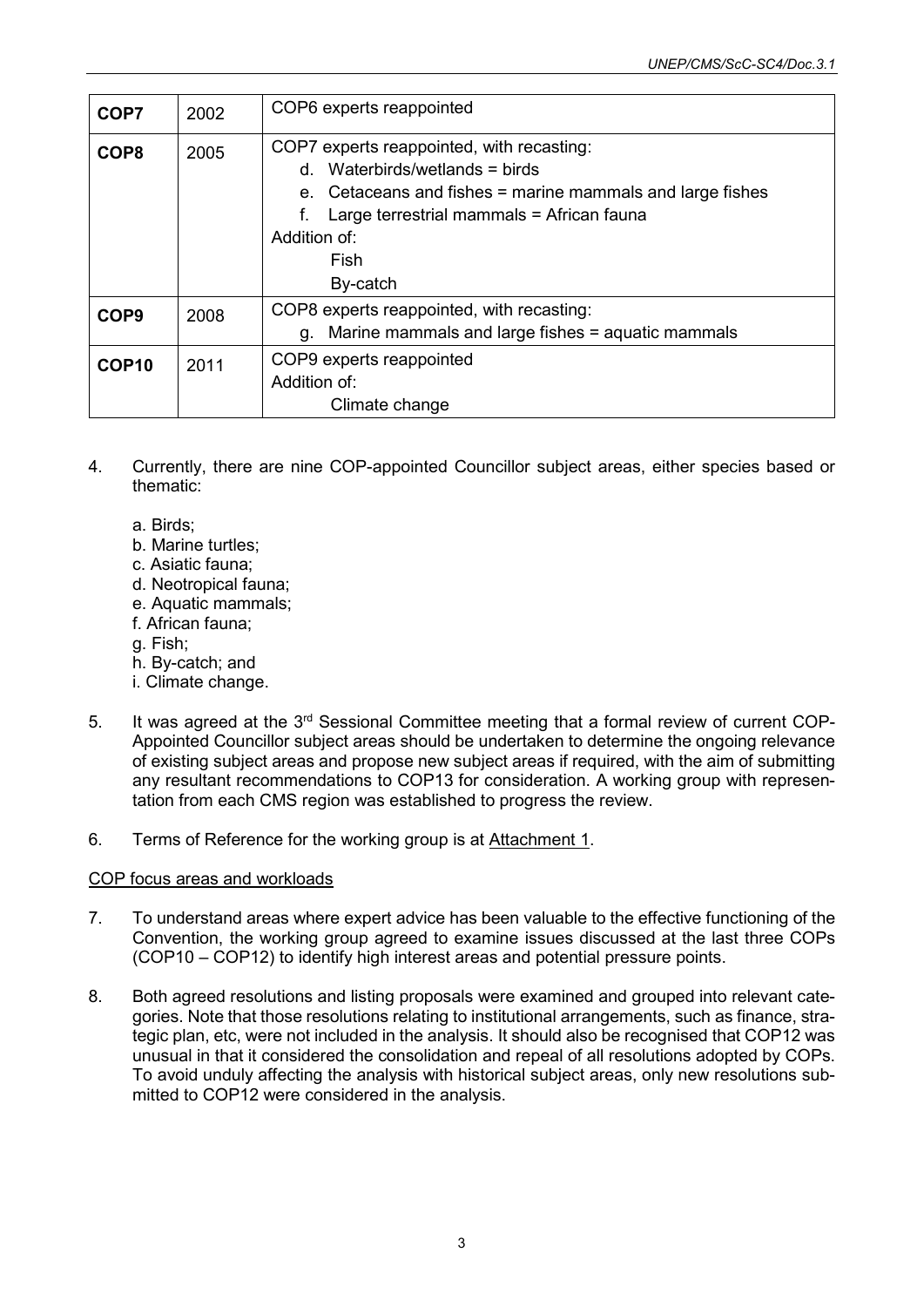| COP7              | 2002 | COP6 experts reappointed                                                                                                                                                                                                          |  |  |  |
|-------------------|------|-----------------------------------------------------------------------------------------------------------------------------------------------------------------------------------------------------------------------------------|--|--|--|
| COP <sub>8</sub>  | 2005 | COP7 experts reappointed, with recasting:<br>$d.$ Waterbirds/wetlands = birds<br>e. Cetaceans and fishes = marine mammals and large fishes<br>Large terrestrial mammals = African fauna<br>f.<br>Addition of:<br>Fish<br>By-catch |  |  |  |
| COP <sub>9</sub>  | 2008 | COP8 experts reappointed, with recasting:<br>g. Marine mammals and large fishes = aquatic mammals                                                                                                                                 |  |  |  |
| COP <sub>10</sub> | 2011 | COP9 experts reappointed<br>Addition of:<br>Climate change                                                                                                                                                                        |  |  |  |

- 4. Currently, there are nine COP-appointed Councillor subject areas, either species based or thematic:
	- a. Birds;
	- b. Marine turtles;
	- c. Asiatic fauna;
	- d. Neotropical fauna;
	- e. Aquatic mammals;
	- f. African fauna;
	- g. Fish;
	- h. By-catch; and
	- i. Climate change.
- 5. It was agreed at the 3<sup>rd</sup> Sessional Committee meeting that a formal review of current COP-Appointed Councillor subject areas should be undertaken to determine the ongoing relevance of existing subject areas and propose new subject areas if required, with the aim of submitting any resultant recommendations to COP13 for consideration. A working group with representation from each CMS region was established to progress the review.
- 6. Terms of Reference for the working group is at Attachment 1.

# COP focus areas and workloads

- 7. To understand areas where expert advice has been valuable to the effective functioning of the Convention, the working group agreed to examine issues discussed at the last three COPs (COP10 – COP12) to identify high interest areas and potential pressure points.
- 8. Both agreed resolutions and listing proposals were examined and grouped into relevant categories. Note that those resolutions relating to institutional arrangements, such as finance, strategic plan, etc, were not included in the analysis. It should also be recognised that COP12 was unusual in that it considered the consolidation and repeal of all resolutions adopted by COPs. To avoid unduly affecting the analysis with historical subject areas, only new resolutions submitted to COP12 were considered in the analysis.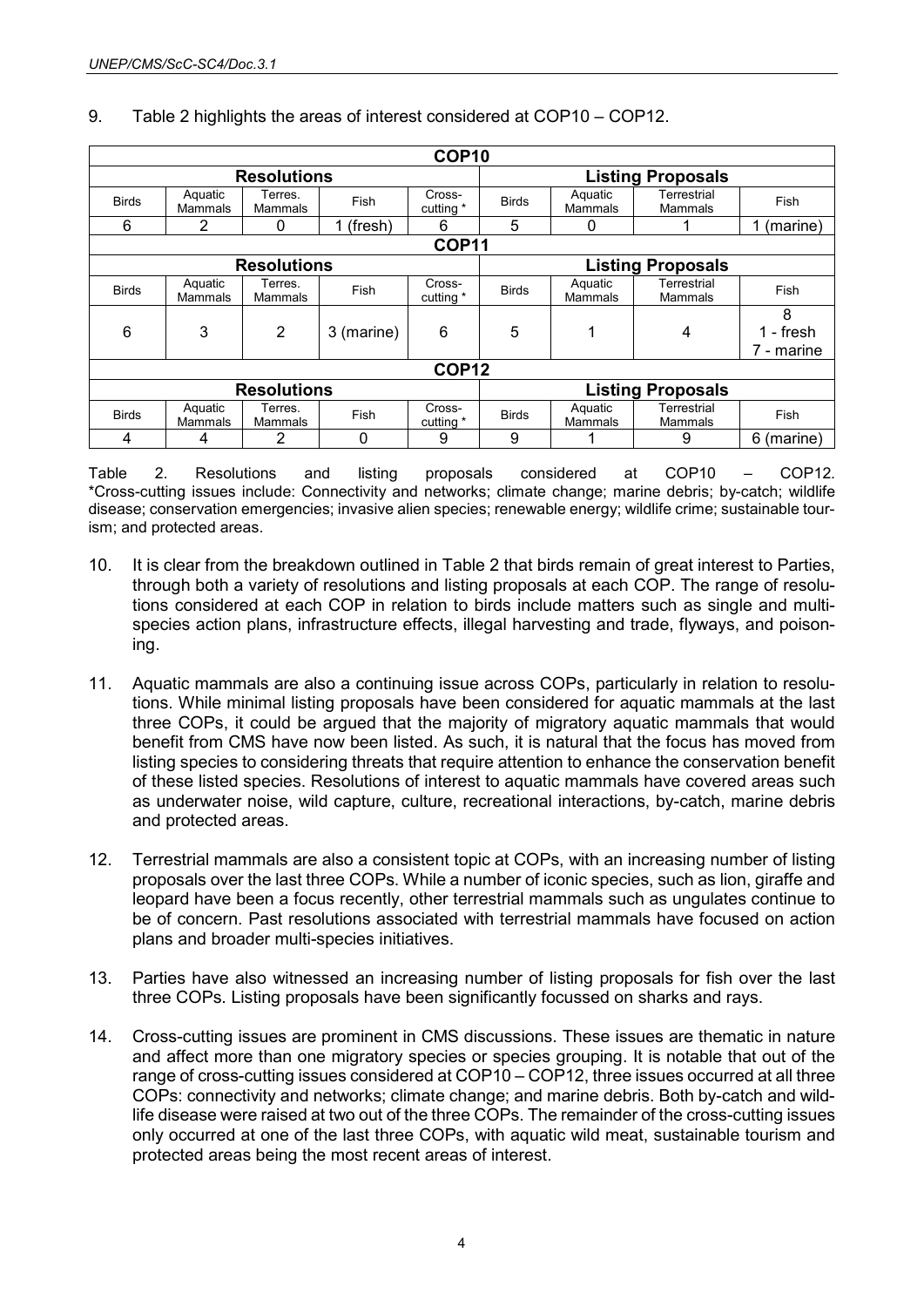| COP <sub>10</sub>  |                           |                           |             |                     |                          |                           |                               |                                |  |
|--------------------|---------------------------|---------------------------|-------------|---------------------|--------------------------|---------------------------|-------------------------------|--------------------------------|--|
| <b>Resolutions</b> |                           |                           |             |                     | <b>Listing Proposals</b> |                           |                               |                                |  |
| <b>Birds</b>       | Aquatic<br>Mammals        | Terres.<br>Mammals        | Fish        | Cross-<br>cutting * | <b>Birds</b>             | Aquatic<br>Mammals        | Terrestrial<br>Mammals        | Fish                           |  |
| 6                  | 2                         | 0                         | 1 (fresh)   | 6                   | 5                        | 0                         |                               | (marine)                       |  |
| <b>COP11</b>       |                           |                           |             |                     |                          |                           |                               |                                |  |
| <b>Resolutions</b> |                           |                           |             |                     | <b>Listing Proposals</b> |                           |                               |                                |  |
| <b>Birds</b>       | Aquatic<br>Mammals        | Terres.<br><b>Mammals</b> | <b>Fish</b> | Cross-<br>cutting * | <b>Birds</b>             | Aquatic<br>Mammals        | Terrestrial<br>Mammals        | Fish                           |  |
| 6                  | 3                         | 2                         | 3 (marine)  | 6                   | 5                        | ◢                         | 4                             | 8<br>$1 -$ fresh<br>7 - marine |  |
| COP <sub>12</sub>  |                           |                           |             |                     |                          |                           |                               |                                |  |
| <b>Resolutions</b> |                           |                           |             |                     |                          | <b>Listing Proposals</b>  |                               |                                |  |
| <b>Birds</b>       | Aquatic<br><b>Mammals</b> | Terres.<br><b>Mammals</b> | Fish        | Cross-<br>cutting * | <b>Birds</b>             | Aquatic<br><b>Mammals</b> | Terrestrial<br><b>Mammals</b> | Fish                           |  |
| 4                  | 4                         | 2                         | 0           | 9                   | 9                        |                           | 9                             | 6 (marine)                     |  |

# 9. Table 2 highlights the areas of interest considered at COP10 – COP12.

Table 2. Resolutions and listing proposals considered at COP10 – COP12. \*Cross-cutting issues include: Connectivity and networks; climate change; marine debris; by-catch; wildlife disease; conservation emergencies; invasive alien species; renewable energy; wildlife crime; sustainable tourism; and protected areas.

- 10. It is clear from the breakdown outlined in Table 2 that birds remain of great interest to Parties, through both a variety of resolutions and listing proposals at each COP. The range of resolutions considered at each COP in relation to birds include matters such as single and multispecies action plans, infrastructure effects, illegal harvesting and trade, flyways, and poisoning.
- 11. Aquatic mammals are also a continuing issue across COPs, particularly in relation to resolutions. While minimal listing proposals have been considered for aquatic mammals at the last three COPs, it could be argued that the majority of migratory aquatic mammals that would benefit from CMS have now been listed. As such, it is natural that the focus has moved from listing species to considering threats that require attention to enhance the conservation benefit of these listed species. Resolutions of interest to aquatic mammals have covered areas such as underwater noise, wild capture, culture, recreational interactions, by-catch, marine debris and protected areas.
- 12. Terrestrial mammals are also a consistent topic at COPs, with an increasing number of listing proposals over the last three COPs. While a number of iconic species, such as lion, giraffe and leopard have been a focus recently, other terrestrial mammals such as ungulates continue to be of concern. Past resolutions associated with terrestrial mammals have focused on action plans and broader multi-species initiatives.
- 13. Parties have also witnessed an increasing number of listing proposals for fish over the last three COPs. Listing proposals have been significantly focussed on sharks and rays.
- 14. Cross-cutting issues are prominent in CMS discussions. These issues are thematic in nature and affect more than one migratory species or species grouping. It is notable that out of the range of cross-cutting issues considered at COP10 – COP12, three issues occurred at all three COPs: connectivity and networks; climate change; and marine debris. Both by-catch and wildlife disease were raised at two out of the three COPs. The remainder of the cross-cutting issues only occurred at one of the last three COPs, with aquatic wild meat, sustainable tourism and protected areas being the most recent areas of interest.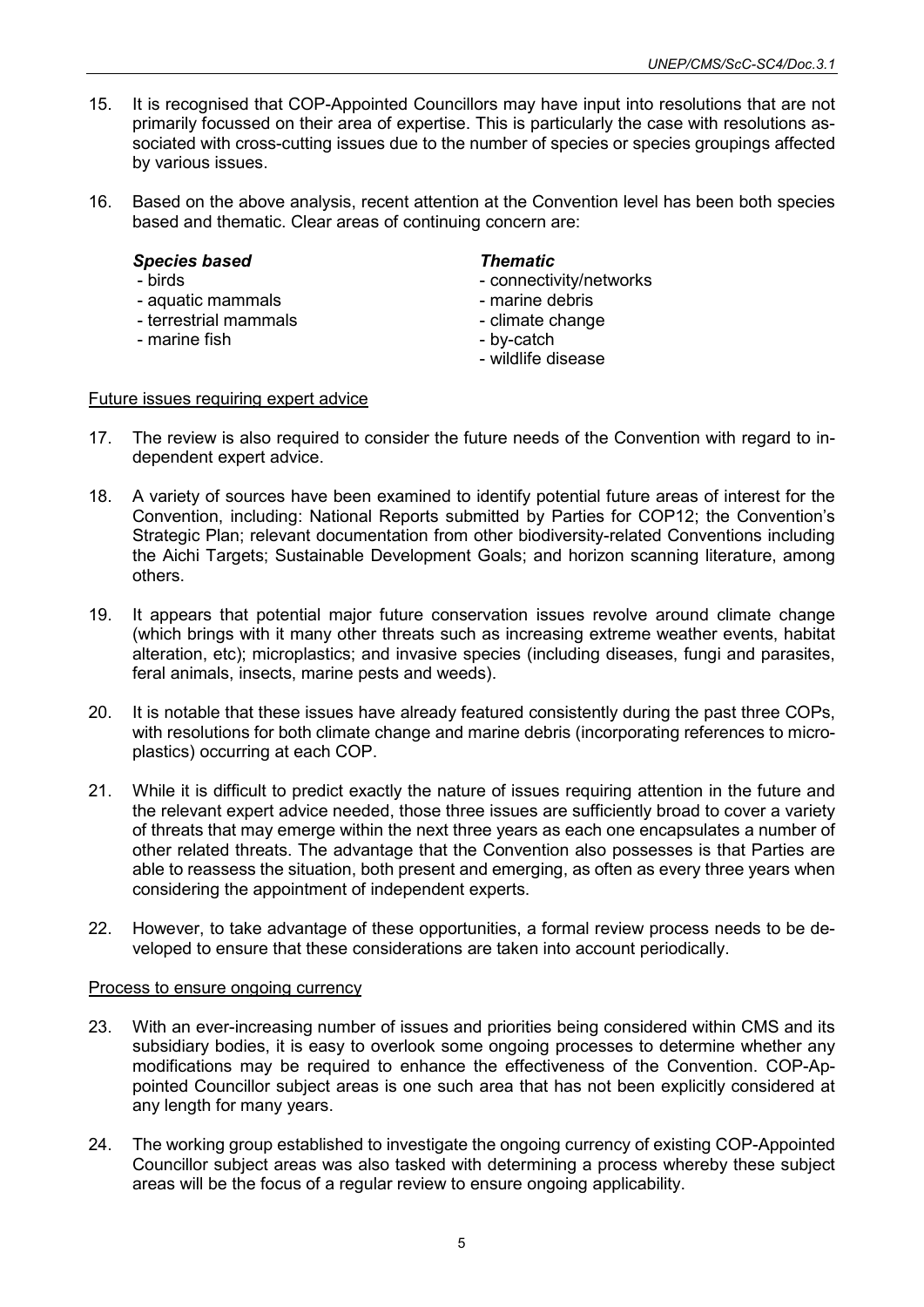- 15. It is recognised that COP-Appointed Councillors may have input into resolutions that are not primarily focussed on their area of expertise. This is particularly the case with resolutions associated with cross-cutting issues due to the number of species or species groupings affected by various issues.
- 16. Based on the above analysis, recent attention at the Convention level has been both species based and thematic. Clear areas of continuing concern are:

# *Species based Thematic*

- 
- aquatic mammals
- terrestrial mammals climate change
- marine fish  $\sim$  by-catch

- connectivity/networks<br>- marine debris
- 
- 
- 
- wildlife disease

#### Future issues requiring expert advice

- 17. The review is also required to consider the future needs of the Convention with regard to independent expert advice.
- 18. A variety of sources have been examined to identify potential future areas of interest for the Convention, including: National Reports submitted by Parties for COP12; the Convention's Strategic Plan; relevant documentation from other biodiversity-related Conventions including the Aichi Targets; Sustainable Development Goals; and horizon scanning literature, among others.
- 19. It appears that potential major future conservation issues revolve around climate change (which brings with it many other threats such as increasing extreme weather events, habitat alteration, etc); microplastics; and invasive species (including diseases, fungi and parasites, feral animals, insects, marine pests and weeds).
- 20. It is notable that these issues have already featured consistently during the past three COPs, with resolutions for both climate change and marine debris (incorporating references to microplastics) occurring at each COP.
- 21. While it is difficult to predict exactly the nature of issues requiring attention in the future and the relevant expert advice needed, those three issues are sufficiently broad to cover a variety of threats that may emerge within the next three years as each one encapsulates a number of other related threats. The advantage that the Convention also possesses is that Parties are able to reassess the situation, both present and emerging, as often as every three years when considering the appointment of independent experts.
- 22. However, to take advantage of these opportunities, a formal review process needs to be developed to ensure that these considerations are taken into account periodically.

#### Process to ensure ongoing currency

- 23. With an ever-increasing number of issues and priorities being considered within CMS and its subsidiary bodies, it is easy to overlook some ongoing processes to determine whether any modifications may be required to enhance the effectiveness of the Convention. COP-Appointed Councillor subject areas is one such area that has not been explicitly considered at any length for many years.
- 24. The working group established to investigate the ongoing currency of existing COP-Appointed Councillor subject areas was also tasked with determining a process whereby these subject areas will be the focus of a regular review to ensure ongoing applicability.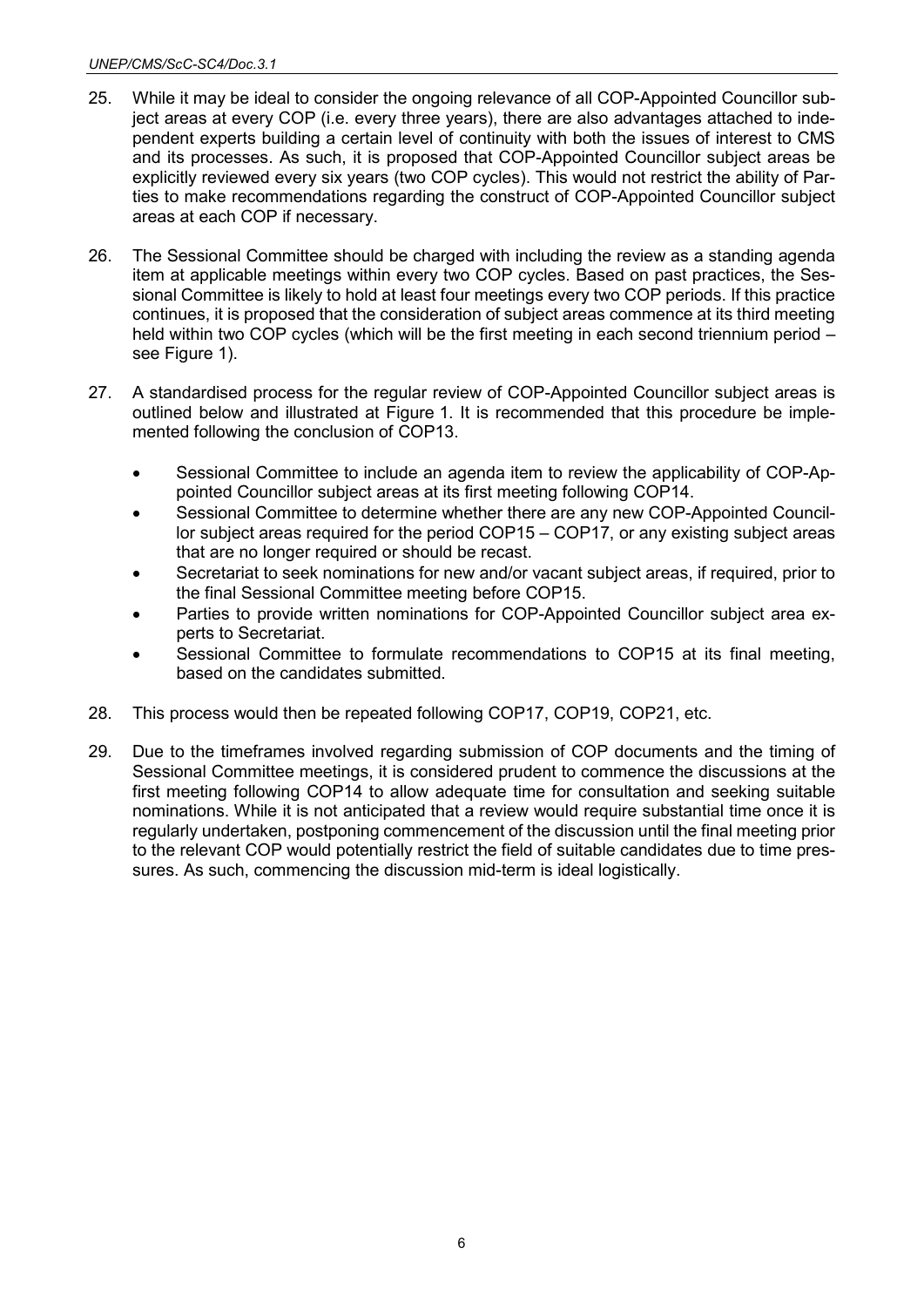- 25. While it may be ideal to consider the ongoing relevance of all COP-Appointed Councillor subject areas at every COP (i.e. every three years), there are also advantages attached to independent experts building a certain level of continuity with both the issues of interest to CMS and its processes. As such, it is proposed that COP-Appointed Councillor subject areas be explicitly reviewed every six years (two COP cycles). This would not restrict the ability of Parties to make recommendations regarding the construct of COP-Appointed Councillor subject areas at each COP if necessary.
- 26. The Sessional Committee should be charged with including the review as a standing agenda item at applicable meetings within every two COP cycles. Based on past practices, the Sessional Committee is likely to hold at least four meetings every two COP periods. If this practice continues, it is proposed that the consideration of subject areas commence at its third meeting held within two COP cycles (which will be the first meeting in each second triennium period – see Figure 1).
- 27. A standardised process for the regular review of COP-Appointed Councillor subject areas is outlined below and illustrated at Figure 1. It is recommended that this procedure be implemented following the conclusion of COP13.
	- Sessional Committee to include an agenda item to review the applicability of COP-Appointed Councillor subject areas at its first meeting following COP14.
	- Sessional Committee to determine whether there are any new COP-Appointed Councillor subject areas required for the period COP15 – COP17, or any existing subject areas that are no longer required or should be recast.
	- Secretariat to seek nominations for new and/or vacant subject areas, if required, prior to the final Sessional Committee meeting before COP15.
	- Parties to provide written nominations for COP-Appointed Councillor subject area experts to Secretariat.
	- Sessional Committee to formulate recommendations to COP15 at its final meeting, based on the candidates submitted.
- 28. This process would then be repeated following COP17, COP19, COP21, etc.
- 29. Due to the timeframes involved regarding submission of COP documents and the timing of Sessional Committee meetings, it is considered prudent to commence the discussions at the first meeting following COP14 to allow adequate time for consultation and seeking suitable nominations. While it is not anticipated that a review would require substantial time once it is regularly undertaken, postponing commencement of the discussion until the final meeting prior to the relevant COP would potentially restrict the field of suitable candidates due to time pressures. As such, commencing the discussion mid-term is ideal logistically.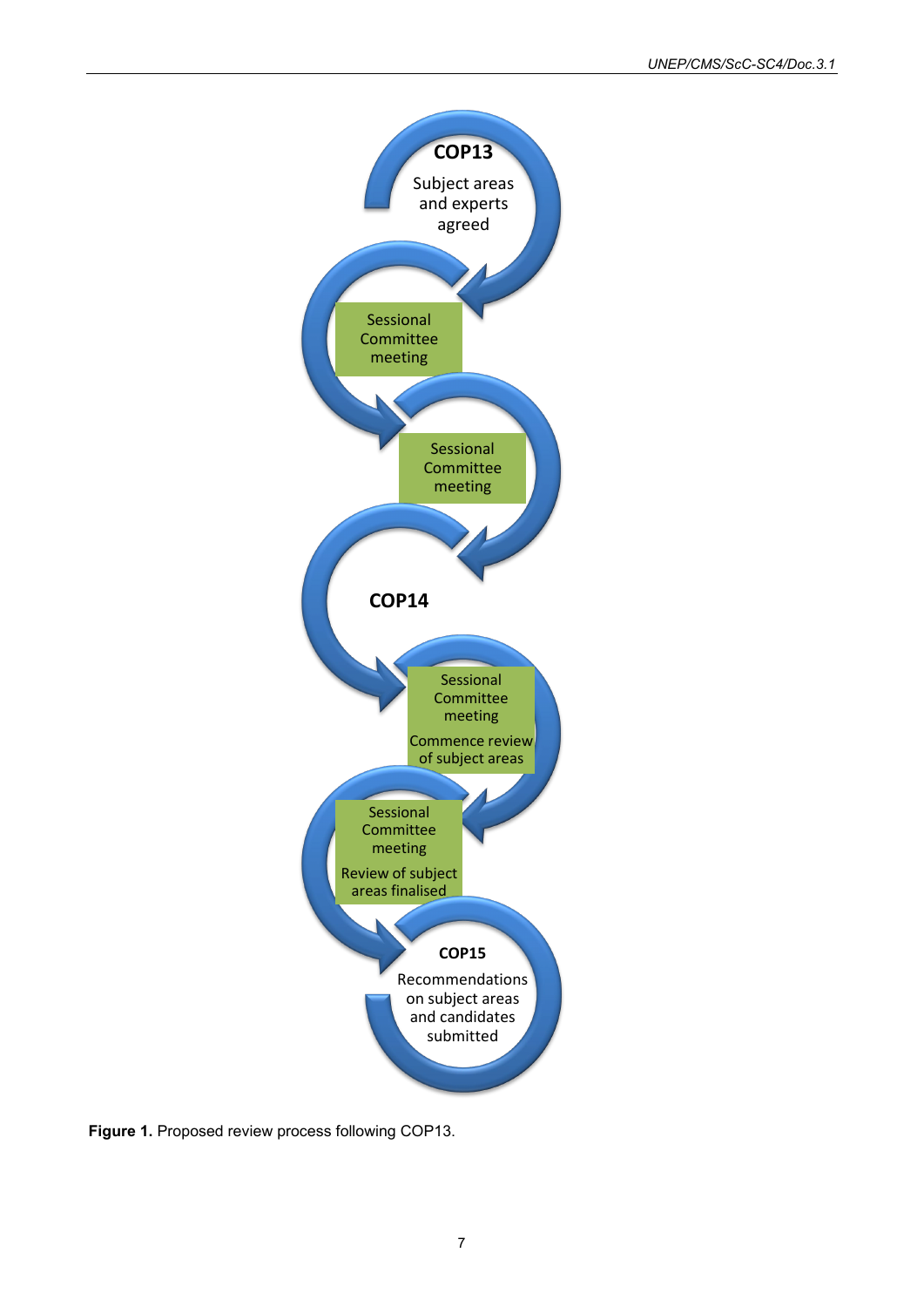

**Figure 1.** Proposed review process following COP13.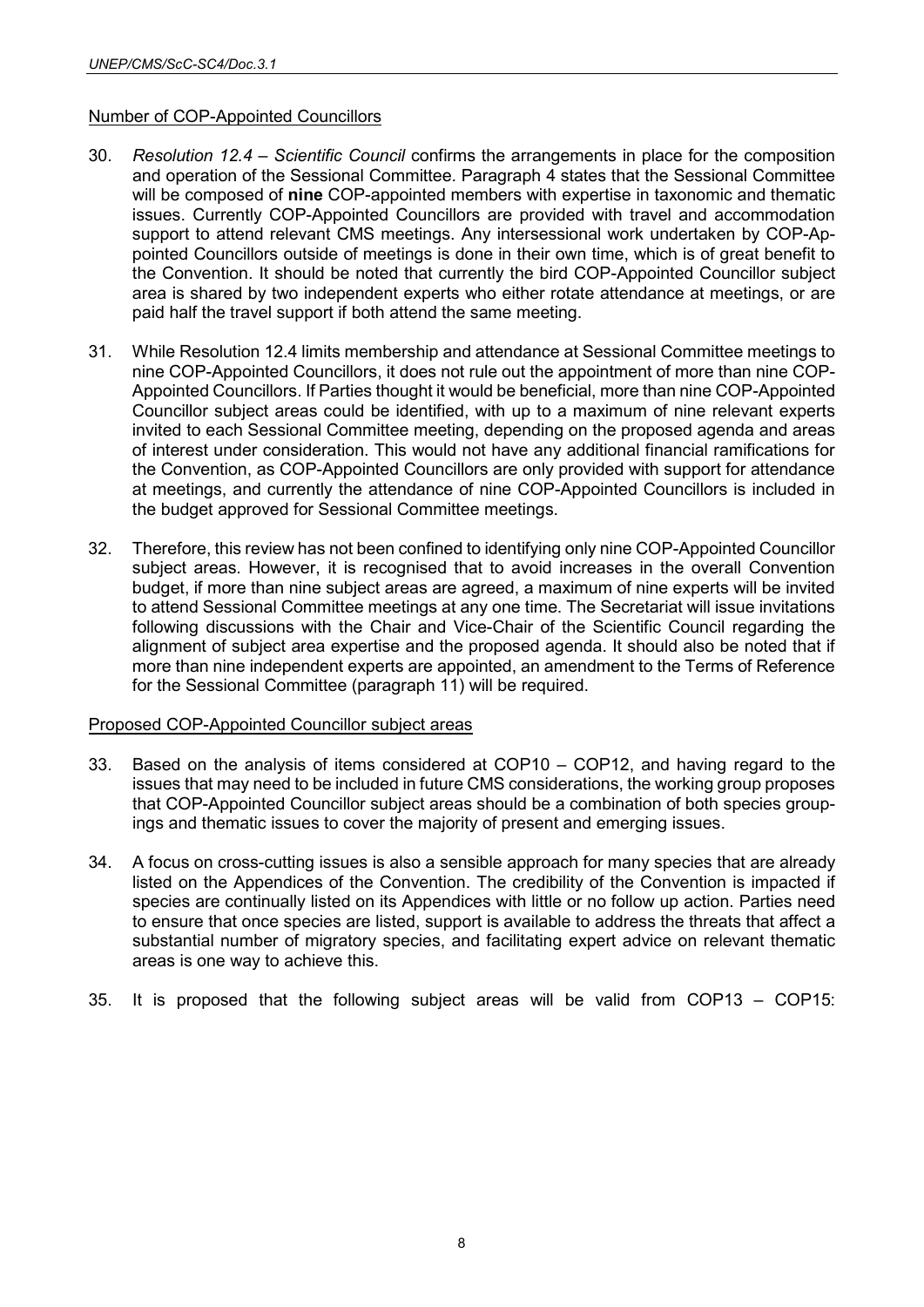# Number of COP-Appointed Councillors

- 30. *Resolution 12.4 – Scientific Council* confirms the arrangements in place for the composition and operation of the Sessional Committee. Paragraph 4 states that the Sessional Committee will be composed of **nine** COP-appointed members with expertise in taxonomic and thematic issues. Currently COP-Appointed Councillors are provided with travel and accommodation support to attend relevant CMS meetings. Any intersessional work undertaken by COP-Appointed Councillors outside of meetings is done in their own time, which is of great benefit to the Convention. It should be noted that currently the bird COP-Appointed Councillor subject area is shared by two independent experts who either rotate attendance at meetings, or are paid half the travel support if both attend the same meeting.
- 31. While Resolution 12.4 limits membership and attendance at Sessional Committee meetings to nine COP-Appointed Councillors, it does not rule out the appointment of more than nine COP-Appointed Councillors. If Parties thought it would be beneficial, more than nine COP-Appointed Councillor subject areas could be identified, with up to a maximum of nine relevant experts invited to each Sessional Committee meeting, depending on the proposed agenda and areas of interest under consideration. This would not have any additional financial ramifications for the Convention, as COP-Appointed Councillors are only provided with support for attendance at meetings, and currently the attendance of nine COP-Appointed Councillors is included in the budget approved for Sessional Committee meetings.
- 32. Therefore, this review has not been confined to identifying only nine COP-Appointed Councillor subject areas. However, it is recognised that to avoid increases in the overall Convention budget, if more than nine subject areas are agreed, a maximum of nine experts will be invited to attend Sessional Committee meetings at any one time. The Secretariat will issue invitations following discussions with the Chair and Vice-Chair of the Scientific Council regarding the alignment of subject area expertise and the proposed agenda. It should also be noted that if more than nine independent experts are appointed, an amendment to the Terms of Reference for the Sessional Committee (paragraph 11) will be required.

# Proposed COP-Appointed Councillor subject areas

- 33. Based on the analysis of items considered at COP10 COP12, and having regard to the issues that may need to be included in future CMS considerations, the working group proposes that COP-Appointed Councillor subject areas should be a combination of both species groupings and thematic issues to cover the majority of present and emerging issues.
- 34. A focus on cross-cutting issues is also a sensible approach for many species that are already listed on the Appendices of the Convention. The credibility of the Convention is impacted if species are continually listed on its Appendices with little or no follow up action. Parties need to ensure that once species are listed, support is available to address the threats that affect a substantial number of migratory species, and facilitating expert advice on relevant thematic areas is one way to achieve this.
- 35. It is proposed that the following subject areas will be valid from COP13 COP15: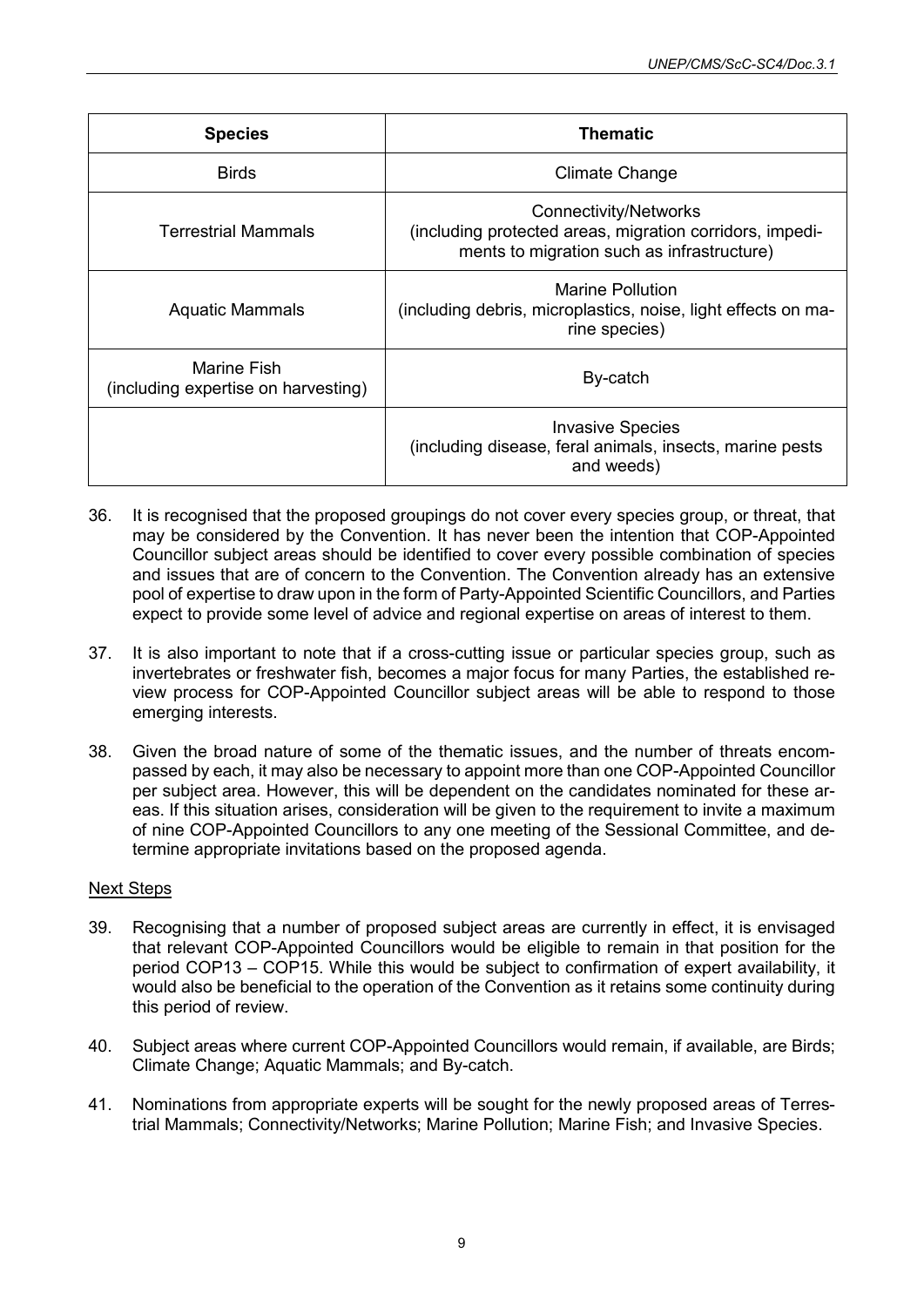| <b>Species</b>                                     | <b>Thematic</b>                                                                                                                        |  |  |  |
|----------------------------------------------------|----------------------------------------------------------------------------------------------------------------------------------------|--|--|--|
| <b>Birds</b>                                       | <b>Climate Change</b>                                                                                                                  |  |  |  |
| <b>Terrestrial Mammals</b>                         | <b>Connectivity/Networks</b><br>(including protected areas, migration corridors, impedi-<br>ments to migration such as infrastructure) |  |  |  |
| <b>Aquatic Mammals</b>                             | Marine Pollution<br>(including debris, microplastics, noise, light effects on ma-<br>rine species)                                     |  |  |  |
| Marine Fish<br>(including expertise on harvesting) | By-catch                                                                                                                               |  |  |  |
|                                                    | <b>Invasive Species</b><br>(including disease, feral animals, insects, marine pests<br>and weeds)                                      |  |  |  |

- 36. It is recognised that the proposed groupings do not cover every species group, or threat, that may be considered by the Convention. It has never been the intention that COP-Appointed Councillor subject areas should be identified to cover every possible combination of species and issues that are of concern to the Convention. The Convention already has an extensive pool of expertise to draw upon in the form of Party-Appointed Scientific Councillors, and Parties expect to provide some level of advice and regional expertise on areas of interest to them.
- 37. It is also important to note that if a cross-cutting issue or particular species group, such as invertebrates or freshwater fish, becomes a major focus for many Parties, the established review process for COP-Appointed Councillor subject areas will be able to respond to those emerging interests.
- 38. Given the broad nature of some of the thematic issues, and the number of threats encompassed by each, it may also be necessary to appoint more than one COP-Appointed Councillor per subject area. However, this will be dependent on the candidates nominated for these areas. If this situation arises, consideration will be given to the requirement to invite a maximum of nine COP-Appointed Councillors to any one meeting of the Sessional Committee, and determine appropriate invitations based on the proposed agenda.

# Next Steps

- 39. Recognising that a number of proposed subject areas are currently in effect, it is envisaged that relevant COP-Appointed Councillors would be eligible to remain in that position for the period COP13 – COP15. While this would be subject to confirmation of expert availability, it would also be beneficial to the operation of the Convention as it retains some continuity during this period of review.
- 40. Subject areas where current COP-Appointed Councillors would remain, if available, are Birds; Climate Change; Aquatic Mammals; and By-catch.
- 41. Nominations from appropriate experts will be sought for the newly proposed areas of Terrestrial Mammals; Connectivity/Networks; Marine Pollution; Marine Fish; and Invasive Species.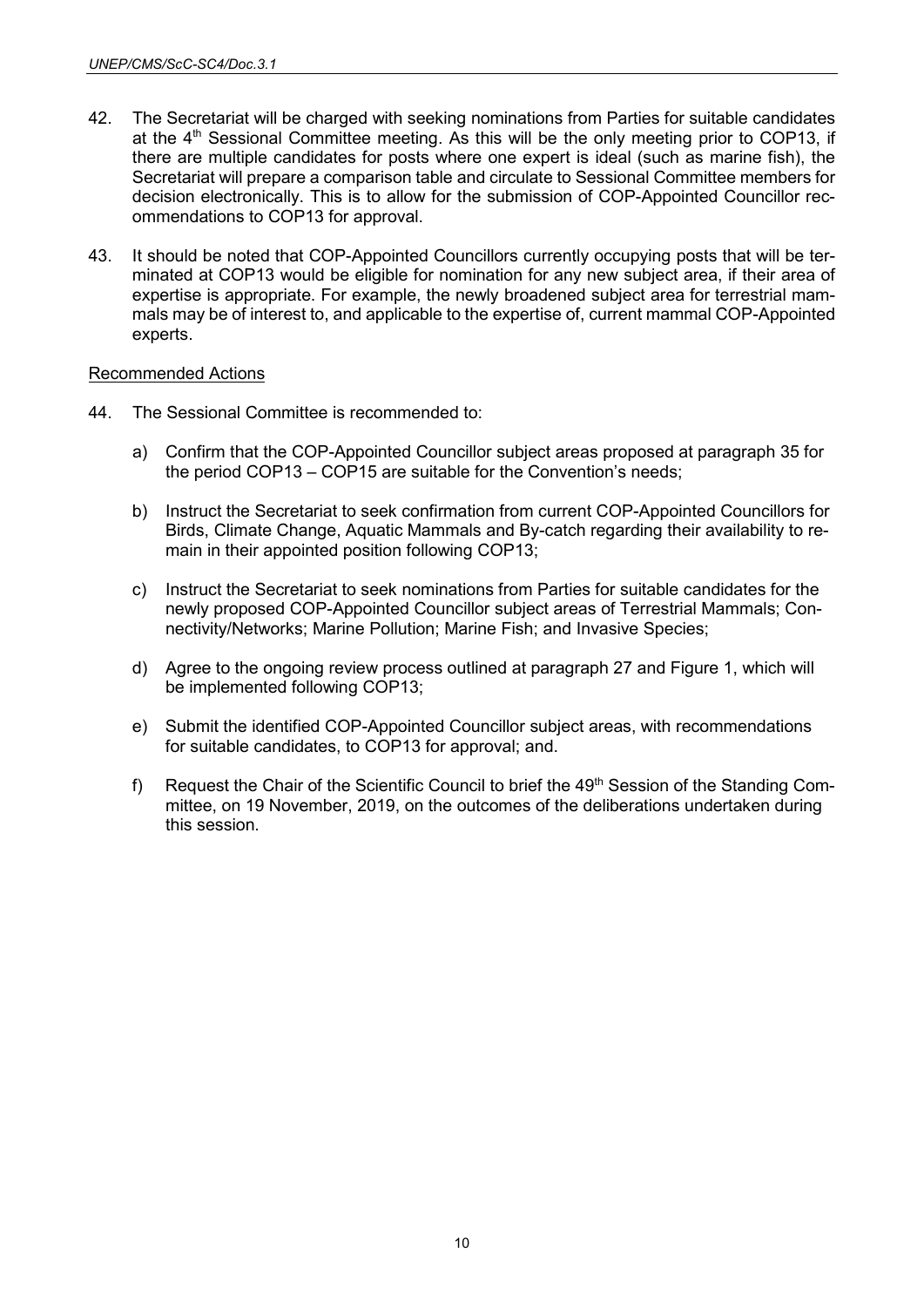- 42. The Secretariat will be charged with seeking nominations from Parties for suitable candidates at the  $4<sup>th</sup>$  Sessional Committee meeting. As this will be the only meeting prior to COP13, if there are multiple candidates for posts where one expert is ideal (such as marine fish), the Secretariat will prepare a comparison table and circulate to Sessional Committee members for decision electronically. This is to allow for the submission of COP-Appointed Councillor recommendations to COP13 for approval.
- 43. It should be noted that COP-Appointed Councillors currently occupying posts that will be terminated at COP13 would be eligible for nomination for any new subject area, if their area of expertise is appropriate. For example, the newly broadened subject area for terrestrial mammals may be of interest to, and applicable to the expertise of, current mammal COP-Appointed experts.

# Recommended Actions

- 44. The Sessional Committee is recommended to:
	- a) Confirm that the COP-Appointed Councillor subject areas proposed at paragraph 35 for the period COP13 – COP15 are suitable for the Convention's needs;
	- b) Instruct the Secretariat to seek confirmation from current COP-Appointed Councillors for Birds, Climate Change, Aquatic Mammals and By-catch regarding their availability to remain in their appointed position following COP13;
	- c) Instruct the Secretariat to seek nominations from Parties for suitable candidates for the newly proposed COP-Appointed Councillor subject areas of Terrestrial Mammals; Connectivity/Networks; Marine Pollution; Marine Fish; and Invasive Species;
	- d) Agree to the ongoing review process outlined at paragraph 27 and Figure 1, which will be implemented following COP13;
	- e) Submit the identified COP-Appointed Councillor subject areas, with recommendations for suitable candidates, to COP13 for approval; and.
	- f) Request the Chair of the Scientific Council to brief the 49<sup>th</sup> Session of the Standing Committee, on 19 November, 2019, on the outcomes of the deliberations undertaken during this session.